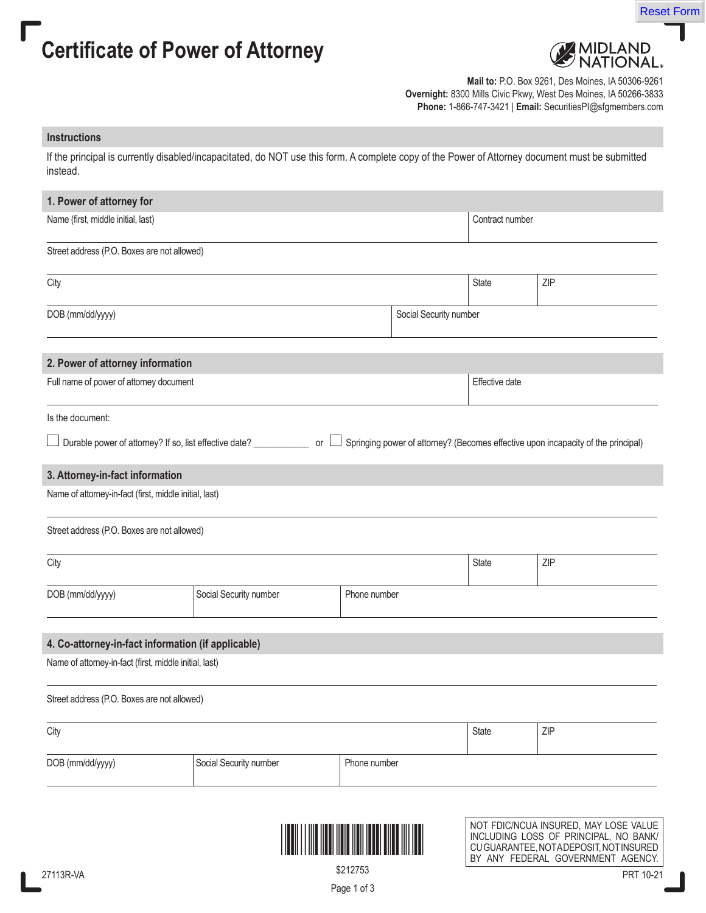



Reset Form

**Mail to:** P.O. Box 9261, Des Moines, IA 50306-9261 **Overnight:** 8300 Mills Civic Pkwy, West Des Moines, IA 50266-3833 **Phone:** 1-866-747-3421 | **Email:** SecuritiesPI@sfgmembers.com

### **Instructions**

If the principal is currently disabled/incapacitated, do NOT use this form. A complete copy of the Power of Attorney document must be submitted instead.

| 1. Power of attorney for                                                                                                                                          |                                                           |              |                        |                 |                                       |  |  |
|-------------------------------------------------------------------------------------------------------------------------------------------------------------------|-----------------------------------------------------------|--------------|------------------------|-----------------|---------------------------------------|--|--|
| Name (first, middle initial, last)                                                                                                                                |                                                           |              |                        | Contract number |                                       |  |  |
| Street address (P.O. Boxes are not allowed)                                                                                                                       |                                                           |              |                        |                 |                                       |  |  |
| City                                                                                                                                                              |                                                           |              |                        | State           | ZIP                                   |  |  |
| DOB (mm/dd/yyyy)                                                                                                                                                  |                                                           |              | Social Security number |                 |                                       |  |  |
| 2. Power of attorney information                                                                                                                                  |                                                           |              |                        |                 |                                       |  |  |
| Full name of power of attorney document                                                                                                                           |                                                           |              |                        | Effective date  |                                       |  |  |
| Is the document:                                                                                                                                                  |                                                           |              |                        |                 |                                       |  |  |
| Springing power of attorney? (Becomes effective upon incapacity of the principal)<br>Durable power of attorney? If so, list effective date? __________________ or |                                                           |              |                        |                 |                                       |  |  |
| 3. Attorney-in-fact information                                                                                                                                   |                                                           |              |                        |                 |                                       |  |  |
| Name of attorney-in-fact (first, middle initial, last)                                                                                                            |                                                           |              |                        |                 |                                       |  |  |
| Street address (P.O. Boxes are not allowed)                                                                                                                       |                                                           |              |                        |                 |                                       |  |  |
| City                                                                                                                                                              |                                                           |              |                        | State           | ZIP                                   |  |  |
| DOB (mm/dd/yyyy)                                                                                                                                                  | Social Security number<br>Phone number                    |              |                        |                 |                                       |  |  |
| 4. Co-attorney-in-fact information (if applicable)                                                                                                                |                                                           |              |                        |                 |                                       |  |  |
| Name of attorney-in-fact (first, middle initial, last)                                                                                                            |                                                           |              |                        |                 |                                       |  |  |
| Street address (P.O. Boxes are not allowed)                                                                                                                       |                                                           |              |                        |                 |                                       |  |  |
| City                                                                                                                                                              |                                                           |              |                        | State           | ZIP                                   |  |  |
| DOB (mm/dd/yyyy)                                                                                                                                                  | Social Security number                                    | Phone number |                        |                 |                                       |  |  |
|                                                                                                                                                                   |                                                           |              |                        |                 |                                       |  |  |
|                                                                                                                                                                   | THE REAL PROPERTY AND THE REAL PROPERTY OF REAL PROPERTY. |              |                        |                 | NOT FDIC/NCUA INSURED, MAY LOSE VALUE |  |  |

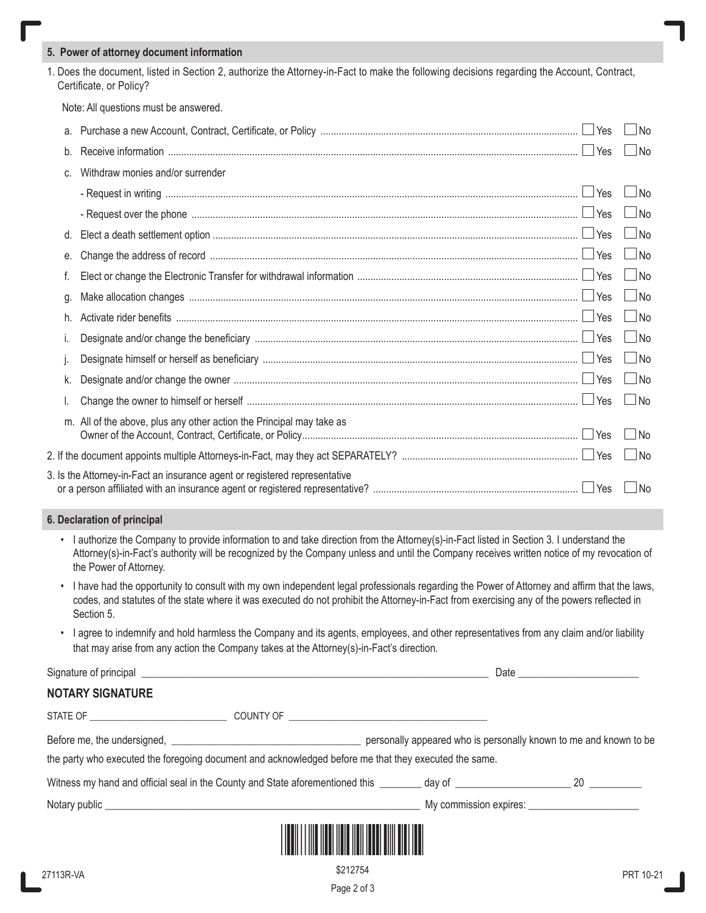#### **5. Power of attorney document information**

1. Does the document, listed in Section 2, authorize the Attorney-in-Fact to make the following decisions regarding the Account, Contract, Certificate, or Policy?

Note: All questions must be answered.

|    | Yes                                                                                                             | No                 |
|----|-----------------------------------------------------------------------------------------------------------------|--------------------|
| b. |                                                                                                                 | $\Box$ No          |
| C. | Withdraw monies and/or surrender                                                                                |                    |
|    |                                                                                                                 | No                 |
|    | - Request over the phone measurement and the state of the phone measurement of the phone measurement in the ves | N <sub>0</sub>     |
| d. |                                                                                                                 | No                 |
| е. |                                                                                                                 | $\Box$ No          |
|    |                                                                                                                 | $\Box$ No          |
| g. |                                                                                                                 | $\Box$ No          |
| h. |                                                                                                                 | $\Box$ No          |
|    |                                                                                                                 | $\Box$ No          |
|    |                                                                                                                 | $\vert$ $\vert$ No |
| k. |                                                                                                                 | $\vert$ No         |
|    | $\Box$ Yes                                                                                                      | l No               |
|    | m. All of the above, plus any other action the Principal may take as                                            | <b>No</b>          |
|    |                                                                                                                 | l No               |
|    | 3. Is the Attorney-in-Fact an insurance agent or registered representative                                      | No                 |

#### **6. Declaration of principal**

• I authorize the Company to provide information to and take direction from the Attorney(s)-in-Fact listed in Section 3. I understand the Attorney(s)-in-Fact's authority will be recognized by the Company unless and until the Company receives written notice of my revocation of the Power of Attorney.

- I have had the opportunity to consult with my own independent legal professionals regarding the Power of Attorney and affirm that the laws, codes, and statutes of the state where it was executed do not prohibit the Attorney-in-Fact from exercising any of the powers reflected in Section 5.
- I agree to indemnify and hold harmless the Company and its agents, employees, and other representatives from any claim and/or liability that may arise from any action the Company takes at the Attorney(s)-in-Fact's direction.

Signature of principal \_\_\_\_\_\_\_\_\_\_\_\_\_\_\_\_\_\_\_\_\_\_\_\_\_\_\_\_\_\_\_\_\_\_\_\_\_\_\_\_\_\_\_\_\_\_\_\_\_\_\_\_\_\_\_\_\_\_\_\_\_\_\_\_\_\_ Date \_\_\_\_\_\_\_\_\_\_\_\_\_\_\_\_\_\_\_\_\_\_\_

# **NOTARY SIGNATURE**

| STATE OF THE STATE OF                                                                                                                                                                                                          | COUNTY OF THE COUNTY OF |                                                                                                                |                        |  |  |
|--------------------------------------------------------------------------------------------------------------------------------------------------------------------------------------------------------------------------------|-------------------------|----------------------------------------------------------------------------------------------------------------|------------------------|--|--|
| personally appeared who is personally known to me and known to be<br>the party who executed the foregoing document and acknowledged before me that they executed the same.                                                     |                         |                                                                                                                |                        |  |  |
| Witness my hand and official seal in the County and State aforementioned this                                                                                                                                                  |                         | day of the control of the control of the control of the control of the control of the control of the control o | 20                     |  |  |
| Notary public that the contract of the contract of the contract of the contract of the contract of the contract of the contract of the contract of the contract of the contract of the contract of the contract of the contrac |                         |                                                                                                                | My commission expires: |  |  |



Page 2 of 3 \$212754